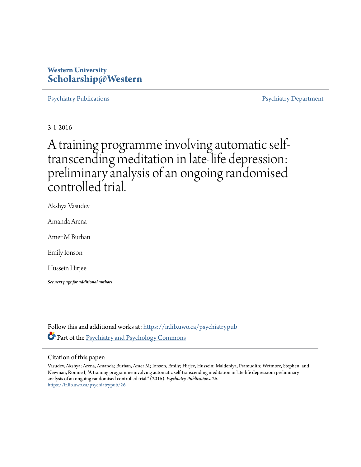# **Western University [Scholarship@Western](https://ir.lib.uwo.ca?utm_source=ir.lib.uwo.ca%2Fpsychiatrypub%2F26&utm_medium=PDF&utm_campaign=PDFCoverPages)**

[Psychiatry Publications](https://ir.lib.uwo.ca/psychiatrypub?utm_source=ir.lib.uwo.ca%2Fpsychiatrypub%2F26&utm_medium=PDF&utm_campaign=PDFCoverPages) **Properties Access** [Psychiatry Department](https://ir.lib.uwo.ca/psychiatry?utm_source=ir.lib.uwo.ca%2Fpsychiatrypub%2F26&utm_medium=PDF&utm_campaign=PDFCoverPages)

3-1-2016

# A training programme involving automatic selftranscending meditation in late-life depression: preliminary analysis of an ongoing randomised controlled trial.

Akshya Vasudev

Amanda Arena

Amer M Burhan

Emily Ionson

Hussein Hirjee

*See next page for additional authors*

Follow this and additional works at: [https://ir.lib.uwo.ca/psychiatrypub](https://ir.lib.uwo.ca/psychiatrypub?utm_source=ir.lib.uwo.ca%2Fpsychiatrypub%2F26&utm_medium=PDF&utm_campaign=PDFCoverPages) Part of the [Psychiatry and Psychology Commons](http://network.bepress.com/hgg/discipline/908?utm_source=ir.lib.uwo.ca%2Fpsychiatrypub%2F26&utm_medium=PDF&utm_campaign=PDFCoverPages)

# Citation of this paper:

Vasudev, Akshya; Arena, Amanda; Burhan, Amer M; Ionson, Emily; Hirjee, Hussein; Maldeniya, Pramudith; Wetmore, Stephen; and Newman, Ronnie I, "A training programme involving automatic self-transcending meditation in late-life depression: preliminary analysis of an ongoing randomised controlled trial." (2016). *Psychiatry Publications*. 26. [https://ir.lib.uwo.ca/psychiatrypub/26](https://ir.lib.uwo.ca/psychiatrypub/26?utm_source=ir.lib.uwo.ca%2Fpsychiatrypub%2F26&utm_medium=PDF&utm_campaign=PDFCoverPages)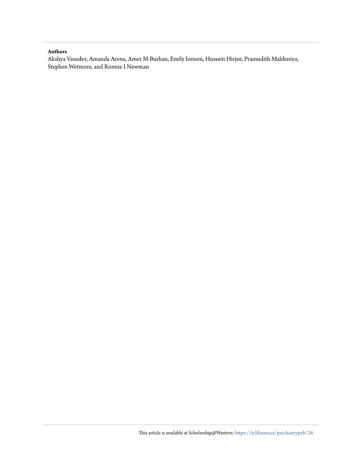# **Authors**

Akshya Vasudev, Amanda Arena, Amer M Burhan, Emily Ionson, Hussein Hirjee, Pramudith Maldeniya, Stephen Wetmore, and Ronnie I Newman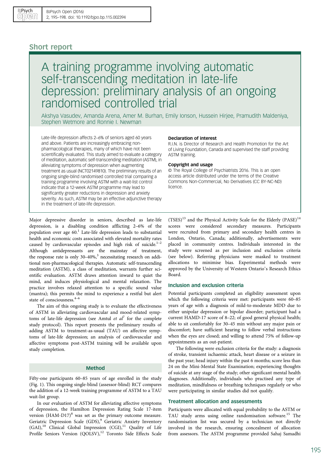# Short report

# A training programme involving automatic self-transcending meditation in late-life depression: preliminary analysis of an ongoing randomised controlled trial

Akshya Vasudev, Amanda Arena, Amer M. Burhan, Emily Ionson, Hussein Hirjee, Pramudith Maldeniya, Stephen Wetmore and Ronnie I. Newman

Late-life depression affects 2–6% of seniors aged 60 years and above. Patients are increasingly embracing nonpharmacological therapies, many of which have not been scientifically evaluated. This study aimed to evaluate a category of meditation, automatic self-transcending meditation (ASTM), in alleviating symptoms of depression when augmenting treatment as usual (NCT02149810). The preliminary results of an ongoing single-blind randomised controlled trial comparing a training programme involving ASTM with a wait-list control indicate that a 12-week ASTM programme may lead to significantly greater reductions in depression and anxiety severity. As such, ASTM may be an effective adjunctive therapy in the treatment of late-life depression.

#### Declaration of interest

R.I.N. is Director of Research and Health Promotion for the Art of Living Foundation, Canada and supervised the staff providing ASTM training.

### Copyright and usage

© The Royal College of Psychiatrists 2016. This is an open access article distributed under the terms of the Creative Commons Non-Commercial, No Derivatives (CC BY-NC-ND) licence.

Major depressive disorder in seniors, described as late-life depression, is a disabling condition afflicting 2–6% of the population over age  $60<sup>1</sup>$  Late-life depression leads to substantial health and economic costs associated with elevated mortality rates caused by cardiovascular episodes and high risk of suicide. $1-2$  $1-2$ Although antidepressants are the mainstay of treatment, the response rate is only  $30-40\%$  $30-40\%$ ,<sup>3</sup> necessitating research on additional non-pharmacological therapies. Automatic self-transcending meditation (ASTM), a class of meditation, warrants further scientific evaluation. ASTM draws attention inward to quiet the mind, and induces physiological and mental relaxation. The practice involves relaxed attention to a specific sound value (mantra); this permits the mind to experience a restful but alert state of consciousness.<sup>[4](#page-5-0)-[6](#page-5-0)</sup>

The aim of this ongoing study is to evaluate the effectiveness of ASTM in alleviating cardiovascular and mood-related symptoms of late-life depression (see Amtul *et al*<sup>[7](#page-5-0)</sup> for the complete study protocol). This report presents the preliminary results of adding ASTM to treatment-as-usual (TAU) on affective symptoms of late-life depression; an analysis of cardiovascular and affective symptoms post-ASTM training will be available upon study completion.

# Method

Fifty-one participants 60–85 years of age enrolled in the study ([Fig. 1\)](#page-3-0). This ongoing single-blind (assessor-blind) RCT compares the addition of a 12-week training programme of ASTM to a TAU wait-list group.

In our evaluation of ASTM for alleviating affective symptoms of depression, the Hamilton Depression Rating Scale 17-item version  $(HAM-D17)^8$  $(HAM-D17)^8$  was set as the primary outcome measure. Geriatric Depression Scale (GDS),<sup>[9](#page-5-0)</sup> Geriatric Anxiety Inventory (GAI),<sup>[10](#page-5-0)</sup> Clinical Global Impression (CGI),<sup>[11](#page-5-0)</sup> Quality of Life Profile Seniors Version (QOLSV),<sup>[12](#page-5-0)</sup> Toronto Side Effects Scale (TSES)<sup>[13](#page-5-0)</sup> and the Physical Activity Scale for the Elderly (PASE)<sup>[14](#page-5-0)</sup> scores were considered secondary measures. Participants were recruited from primary and secondary health centres in London, Ontario, Canada; additionally, advertisements were placed in community centres. Individuals interested in the study were screened as per inclusion and exclusion criteria (see below). Referring physicians were masked to treatment allocations to minimise bias. Experimental methods were approved by the University of Western Ontario's Research Ethics Board.

# Inclusion and exclusion criteria

Potential participants completed an eligibility assessment upon which the following criteria were met: participants were 60–85 years of age with a diagnosis of mild-to-moderate MDD due to either unipolar depression or bipolar disorder; participant had a current HAMD-17 score of 8–22; of good general physical health; able to sit comfortably for 30–45 min without any major pain or discomfort; have sufficient hearing to follow verbal instructions when the eyes are closed; and willing to attend 75% of follow-up appointments as an out-patient.

The following were exclusion criteria for the study: a diagnosis of stroke, transient ischaemic attack, heart disease or a seizure in the past year; head injury within the past 6 months; score less than 24 on the Mini-Mental State Examination; experiencing thoughts of suicide at any stage of the study; other significant mental health diagnoses. Additionally, individuals who practised any type of meditation, mindfulness or breathing techniques regularly or who were participating in similar studies did not qualify.

### Treatment allocation and assessments

Participants were allocated with equal probability to the ASTM or TAU study arms using online randomisation software.<sup>[15](#page-5-0)</sup> The randomisation list was secured by a technician not directly involved in the research, ensuring concealment of allocation from assessors. The ASTM programme provided Sahaj Samadhi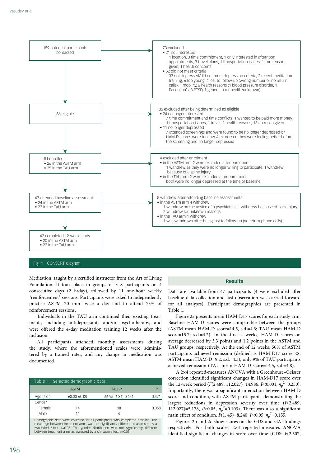<span id="page-3-0"></span>

# Fig. 1 CONSORT diagram

Meditation, taught by a certified instructor from the Art of Living Foundation. It took place in groups of 3–8 participants on 4 consecutive days (2 h/day), followed by 11 one-hour weekly 'reinforcement' sessions. Participants were asked to independently practise ASTM 20 min twice a day and to attend 75% of reinforcement sessions.

Individuals in the TAU arm continued their existing treatments, including antidepressants and/or psychotherapy, and were offered the 4-day meditation training 12 weeks after the inclusion.

All participants attended monthly assessments during the study, where the aforementioned scales were administered by a trained rater, and any change in medication was documented.

| Table 1 Selected demographic data                                                                                                                                                                                                                                                                                                            |              |                    |       |
|----------------------------------------------------------------------------------------------------------------------------------------------------------------------------------------------------------------------------------------------------------------------------------------------------------------------------------------------|--------------|--------------------|-------|
|                                                                                                                                                                                                                                                                                                                                              | <b>ASTM</b>  | TAU P              |       |
| Age $(s.d.)$                                                                                                                                                                                                                                                                                                                                 | 68.33 (6.12) | 66.95 (6.31) 0.471 | 0.47' |
| Gender                                                                                                                                                                                                                                                                                                                                       |              |                    |       |
| Female                                                                                                                                                                                                                                                                                                                                       | 14           | 18                 | 0.058 |
| Male                                                                                                                                                                                                                                                                                                                                         | 11           | 4                  |       |
| Demographic data were collected for all participants who completed baseline. The<br>mean age between treatment arms was not significantly different as assessed by a<br>two-tailed t-test $\alpha$ =0.05. The gender distribution was not significantly different<br>between treatment arms as assessed by a chi-square test $\alpha$ =0.05. |              |                    |       |

### Results

Data are available from 47 participants (4 were excluded after baseline data collection and last observation was carried forward for all analyses). Participant demographics are presented in Table 1.

[Figure 2a](#page-4-0) presents mean HAM-D17 scores for each study arm. Baseline HAM-D scores were comparable between the groups (ASTM mean HAM-D score=14.5, s.d.=4.3; TAU mean HAM-D score=15.7, s.d.=4.2). In the first 4 weeks, HAM-D scores on average decreased by 3.3 points and 1.2 points in the ASTM and TAU groups, respectively. At the end of 12 weeks, 50% of ASTM participants achieved remission (defined as HAM-D17 score <8, ASTM mean HAM-D=9.2, s.d.=4.3); only 9% of TAU participants achieved remission (TAU mean HAM-D score=14.5, s.d.=4.8).

A 2×4 repeated-measures ANOVA with a Greenhouse–Geisser correction identified significant changes in HAM-D17 score over the 1[2](#page-5-0)-week period ( $F(2.489, 112.027) = 14.986, P < 0.001, \eta_p^2 = 0.250$ ). Importantly, there was a significant interaction between HAM-D score and condition, with ASTM participants demonstrating the largest reductions in depression severity over time (F(2.489, 11[2](#page-5-0).027)=5.178, P<0.05,  $\eta_p^2$ =0.103). There was also a significant main effect of condition,  $F(1, 45)=8.240$  $F(1, 45)=8.240$  $F(1, 45)=8.240$ ,  $P<0.05$ ,  $\eta_p^2=0.155$ .

[Figures 2b and 2c s](#page-4-0)how scores on the GDS and GAI findings respectively. For both scales, 2×4 repeated-measures ANOVA identified significant changes in score over time (GDS: F(2.507,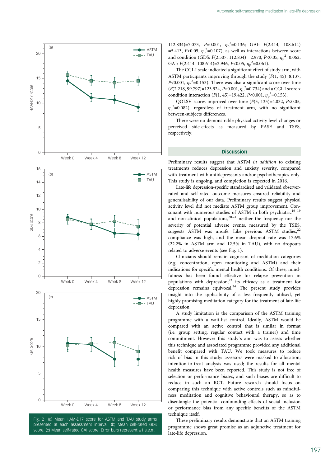<span id="page-4-0"></span>

Fig. 2 (a) Mean HAM-D17 score for ASTM and TAU study arms presented at each assessment interval. (b) Mean self-rated GDS score. (c) Mean self-rated GAI score. Error bars represent ±1 s.e.m.

11[2](#page-5-0).834)=7.073, P=0.001,  $\eta_p^2$ =0.136; GAI: F(2.414, 108.614) =5.413, P<0.05,  $\eta_p^2$  $\eta_p^2$ =0.107), as well as interactions between score and condition (GDS: F([2](#page-5-0).507, 112.834)= 2.970, P<0.05,  $\eta_p^2$ =0.062; GAI:  $F(2.414, 108.614)=2.946, P<0.05, \eta_p^2=0.061$  $F(2.414, 108.614)=2.946, P<0.05, \eta_p^2=0.061$  $F(2.414, 108.614)=2.946, P<0.05, \eta_p^2=0.061$ ).

The CGI-I scale indicated a significant effect of study arm, with ASTM participants improving through the study  $(F(1, 45)=8.137,$ P<0.001,  $\eta_p^2$  $\eta_p^2$ =0.153). There was also a significant score over time  $(F(2.218, 99.797)=123.924, P<0.001, \eta_p^2=0.734)$  $(F(2.218, 99.797)=123.924, P<0.001, \eta_p^2=0.734)$  $(F(2.218, 99.797)=123.924, P<0.001, \eta_p^2=0.734)$  and a CGI-I score x condition interaction ( $F(1, 45) = 19.422$  $F(1, 45) = 19.422$  $F(1, 45) = 19.422$ ,  $P < 0.001$ ,  $\eta_p^2 = 0.153$ ).

QOLSV scores improved over time  $(F(3, 135)=4.032, P<0.05,$  $\eta_p^2$  $\eta_p^2$ =0.082), regardless of treatment arm, with no significant between-subjects differences.

There were no demonstrable physical activity level changes or perceived side-effects as measured by PASE and TSES, respectively.

#### **Discussion**

Preliminary results suggest that ASTM in addition to existing treatments reduces depression and anxiety severity, compared with treatment with antidepressants and/or psychotherapies only. This study is ongoing, and completion is expected in 2016.

Late-life depression-specific standardised and validated observerrated and self-rated outcome measures ensured reliability and generalisability of our data. Preliminary results suggest physical activity level did not mediate ASTM group improvement. Consonant with numerous studies of ASTM in both psychiatric $16-19$  $16-19$  $16-19$ and non-clinical populations, $20,21$  neither the frequency nor the severity of potential adverse events, measured by the TSES, suggests ASTM was unsafe. Like previous ASTM studies, $22$ compliance was high, and the mean dropout rate was 17.6% (22.2% in ASTM arm and 12.5% in TAU), with no dropouts related to adverse events (see Fig. 1).

Clinicians should remain cognisant of meditation categories (e.g. concentration, open monitoring and ASTM) and their indications for specific mental health conditions. Of these, mindfulness has been found effective for relapse prevention in populations with depression;[23](#page-5-0) its efficacy as a treatment for depression remains equivocal. $24$  The present study provides insight into the applicability of a less frequently utilised, yet highly promising meditation category for the treatment of late-life depression.

A study limitation is the comparison of the ASTM training programme with a wait-list control. Ideally, ASTM would be compared with an active control that is similar in format (i.e. group setting, regular contact with a trainer) and time commitment. However this study's aim was to assess whether this technique and associated programme provided any additional benefit compared with TAU. We took measures to reduce risk of bias in this study: assessors were masked to allocation; intention-to-treat analysis was used; the results for all mental health measures have been reported. This study is not free of selection or performance biases, and such biases are difficult to reduce in such an RCT. Future research should focus on comparing this technique with active controls such as mindfulness meditation and cognitive behavioural therapy, so as to disentangle the potential confounding effects of social inclusion or performance bias from any specific benefits of the ASTM technique itself.

These preliminary results demonstrate that an ASTM training programme shows great promise as an adjunctive treatment for late-life depression.